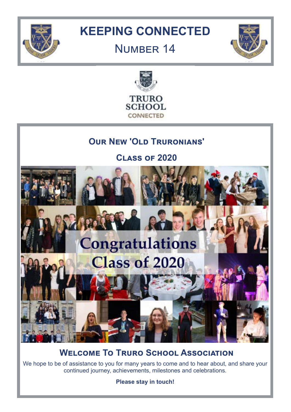

# **KEEPING CONNECTED**

# **NUMBER 14**





## **OUR NEW 'OLD TRURONIANS'**

**Class of 2020**



**WELCOME TO TRURO SCHOOL ASSOCIATION** 

We hope to be of assistance to you for many years to come and to hear about, and share your continued journey, achievements, milestones and celebrations.

**Please stay in touch!**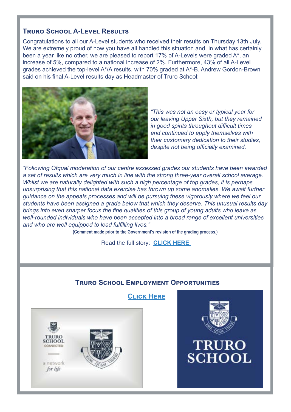#### **Truro School A-Level Results**

Congratulations to all our A-Level students who received their results on Thursday 13th July. We are extremely proud of how you have all handled this situation and, in what has certainly been a year like no other, we are pleased to report 17% of A-Levels were graded A\*, an increase of 5%, compared to a national increase of 2%. Furthermore, 43% of all A-Level grades achieved the top-level A\*/A results, with 70% graded at A\*-B. Andrew Gordon-Brown said on his final A-Level results day as Headmaster of Truro School:



*"This was not an easy or typical year for our leaving Upper Sixth, but they remained in good spirits throughout difficult times and continued to apply themselves with their customary dedication to their studies, despite not being officially examined.*

*"Following Ofqual moderation of our centre assessed grades our students have been awarded a set of results which are very much in line with the strong three-year overall school average. Whilst we are naturally delighted with such a high percentage of top grades, it is perhaps unsurprising that this national data exercise has thrown up some anomalies. We await further guidance on the appeals processes and will be pursuing these vigorously where we feel our students have been assigned a grade below that which they deserve. This unusual results day brings into even sharper focus the fine qualities of this group of young adults who leave as well-rounded individuals who have been accepted into a broad range of excellent universities and who are well equipped to lead fulfilling lives."*

**(Comment made prior to the Government's revision of the grading process.)**

Read the full story: **[CLICK HERE]( https://www.truroschool.com/latest-news/a-level-results-day/ 
)** 

#### **Truro School Employment Opportunities**





**TRURO** 

**SCHOOL**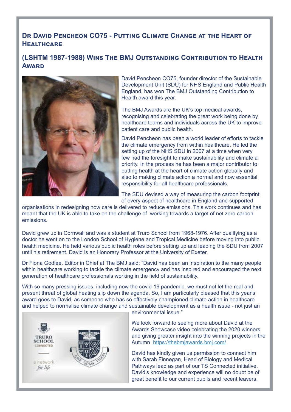## **DR DAVID PENCHEON CO75 - PUTTING CLIMATE CHANGE AT THE HEART OF Healthcare**

#### **(LSHTM 1987-1988) Wins The BMJ Outstanding Contribution to Health Award**



David Pencheon CO75, founder director of the Sustainable Development Unit (SDU) for NHS England and Public Health England, has won The BMJ Outstanding Contribution to Health award this year.

The BMJ Awards are the UK's top medical awards, recognising and celebrating the great work being done by healthcare teams and individuals across the UK to improve patient care and public health.

David Pencheon has been a world leader of efforts to tackle the climate emergency from within healthcare. He led the setting up of the NHS SDU in 2007 at a time when very few had the foresight to make sustainability and climate a priority. In the process he has been a major contributor to putting health at the heart of climate action globally and also to making climate action a normal and now essential responsibility for all healthcare professionals.

The SDU devised a way of measuring the carbon footprint of every aspect of healthcare in England and supported

organisations in redesigning how care is delivered to reduce emissions. This work continues and has meant that the UK is able to take on the challenge of working towards a target of net zero carbon emissions.

David grew up in Cornwall and was a student at Truro School from 1968-1976. After qualifying as a doctor he went on to the London School of Hygiene and Tropical Medicine before moving into public health medicine. He held various public health roles before setting up and leading the SDU from 2007 until his retirement. David is an Honorary Professor at the University of Exeter.

Dr Fiona Godlee, Editor in Chief at The BMJ said: "David has been an inspiration to the many people within healthcare working to tackle the climate emergency and has inspired and encouraged the next generation of healthcare professionals working in the field of sustainability.

With so many pressing issues, including now the covid-19 pandemic, we must not let the real and present threat of global heating slip down the agenda. So, I am particularly pleased that this year's award goes to David, as someone who has so effectively championed climate action in healthcare and helped to normalise climate change and sustainable development as a health issue - not just an



environmental issue."

We look forward to seeing more about David at the Awards Showcase video celebrating the 2020 winners and giving greater insight into the winning projects in the Autumn <https://thebmjawards.bmj.com/>

David has kindly given us permission to connect him with Sarah Finnegan, Head of Biology and Medical Pathways lead as part of our TS Connected initiative. David's knowledge and experience will no doubt be of great benefit to our current pupils and recent leavers.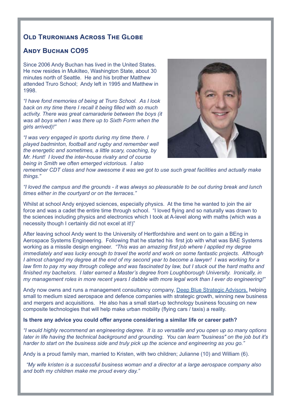#### **OLD TRURONIANS ACROSS THE GLOBE**

#### **Andy Buchan CO95**

Since 2006 Andy Buchan has lived in the United States. He now resides in Mukilteo, Washington State, about 30 minutes north of Seattle. He and his brother Matthew attended Truro School; Andy left in 1995 and Matthew in 1998.

*"I have fond memories of being at Truro School. As I look back on my time there I recall it being filled with so much activity. There was great camaraderie between the boys (it was all boys when I was there up to Sixth Form when the girls arrived)!"*

*"I was very engaged in sports during my time there. I played badminton, football and rugby and remember well the energetic and sometimes, a little scary, coaching, by Mr. Hunt! I loved the inter-house rivalry and of course being in Smith we often emerged victorious. I also* 



*remember CDT class and how awesome it was we got to use such great facilities and actually make things."* 

*"I loved the campus and the grounds - it was always so pleasurable to be out during break and lunch times either in the courtyard or on the terraces."*

Whilst at school Andy enjoyed sciences, especially physics. At the time he wanted to join the air force and was a cadet the entire time through school. "I loved flying and so naturally was drawn to the sciences including physics and electronics which I took at A-level along with maths (which was a necessity though I certainly did not excel at it!)"

After leaving school Andy went to the University of Hertfordshire and went on to gain a BEng in Aerospace Systems Engineering. Following that he started his first job with what was BAE Systems working as a missile design engineer. *"This was an amazing first job where I applied my degree immediately and was lucky enough to travel the world and work on some fantastic projects. Although I almost changed my degree at the end of my second year to become a lawyer! I was working for a*  law firm to pay my way through college and was fascinated by law, but I stuck out the hard maths and *finished my bachelors. I later earned a Master's degree from Loughborough University. Ironically, in my management roles in more recent years I dabble with more legal work than I ever do engineering!"*

Andy now owns and runs a management consultancy company, [Deep Blue Strategic Advisors,](https://www.deepbluestrategicadvisers.com/) helping small to medium sized aerospace and defence companies with strategic growth, winning new business and mergers and acquisitions. He also has a small start-up technology business focusing on new composite technologies that will help make urban mobility (flying cars / taxis) a reality.

#### **Is there any advice you could offer anyone considering a similar life or career path?**

*"I would highly recommend an engineering degree. It is so versatile and you open up so many options later in life having the technical background and grounding. You can learn "business" on the job but it's harder to start on the business side and truly pick up the science and engineering as you go."*

Andy is a proud family man, married to Kristen, with two children; Julianne (10) and William (6).

 *"My wife kristen is a successful business woman and a director at a large aerospace company also and both my children make me proud every day."*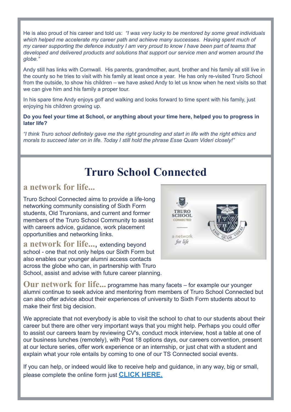He is also proud of his career and told us: *"I was very lucky to be mentored by some great individuals which helped me accelerate my career path and achieve many successes. Having spent much of my career supporting the defence industry I am very proud to know I have been part of teams that developed and delivered products and solutions that support our service men and women around the globe."*

Andy still has links with Cornwall. His parents, grandmother, aunt, brother and his family all still live in the county so he tries to visit with his family at least once a year. He has only re-visited Truro School from the outside, to show his children – we have asked Andy to let us know when he next visits so that we can give him and his family a proper tour.

In his spare time Andy enjoys golf and walking and looks forward to time spent with his family, just enjoying his children growing up.

#### **Do you feel your time at School, or anything about your time here, helped you to progress in later life?**

*"I think Truro school definitely gave me the right grounding and start in life with the right ethics and morals to succeed later on in life. Today I still hold the phrase Esse Quam Videri closely!"*

## **Truro School Connected**

## **a network for life...**

Truro School Connected aims to provide a life-long networking community consisting of Sixth Form students, Old Truronians, and current and former members of the Truro School Community to assist with careers advice, guidance, work placement opportunities and networking links.

**a network for life...**, extending beyond school - one that not only helps our Sixth Form but also enables our younger alumni access contacts across the globe who can, in partnership with Truro School, assist and advise with future career planning.



**Our network for life...** programme has many facets – for example our younger alumni continue to seek advice and mentoring from members of Truro School Connected but can also offer advice about their experiences of university to Sixth Form students about to make their first big decision.

We appreciate that not everybody is able to visit the school to chat to our students about their career but there are other very important ways that you might help. Perhaps you could offer to assist our careers team by reviewing CV's, conduct mock interview, host a table at one of our business lunches (remotely), with Post 18 options days, our careers convention, present at our lecture series, offer work experience or an internship, or just chat with a student and explain what your role entails by coming to one of our TS Connected social events.

If you can help, or indeed would like to receive help and guidance, in any way, big or small, please complete the online form just **[CLICK HERE.](https://www.truroschool.com/oldtruronians/truro-school-connected/)**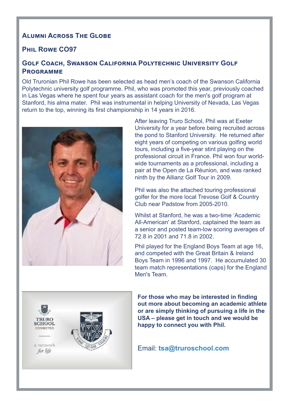## **ALUMNI ACROSS THE GLOBE**

#### **Phil Rowe CO97**

#### **Golf Coach, Swanson California Polytechnic University Golf Programme**

Old Truronian Phil Rowe has been selected as head men's coach of the Swanson California Polytechnic university golf programme. Phil, who was promoted this year, previously coached in Las Vegas where he spent four years as assistant coach for the men's golf program at Stanford, his alma mater. Phil was instrumental in helping University of Nevada, Las Vegas return to the top, winning its first championship in 14 years in 2016.



After leaving Truro School, Phil was at Exeter University for a year before being recruited across the pond to Stanford University. He returned after eight years of competing on various golfing world tours, including a five-year stint playing on the professional circuit in France. Phil won four worldwide tournaments as a professional, including a pair at the Open de La Réunion, and was ranked ninth by the Allianz Golf Tour in 2009.

Phil was also the attached touring professional golfer for the more local Trevose Golf & Country Club near Padstow from 2005-2010.

Whilst at Stanford, he was a two-time 'Academic All-American' at Stanford, captained the team as a senior and posted team-low scoring averages of 72.8 in 2001 and 71.8 in 2002.

Phil played for the England Boys Team at age 16, and competed with the Great Britain & Ireland Boys Team in 1996 and 1997. He accumulated 30 team match representations (caps) for the England Men's Team.



**For those who may be interested in finding out more about becoming an academic athlete or are simply thinking of pursuing a life in the USA – please get in touch and we would be happy to connect you with Phil.** 

Email: **tsa@truroschool.com**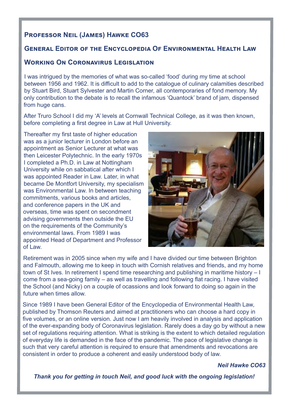## **Professor Neil (James) Hawke CO63**

## **General Editor of the Encyclopedia Of Environmental Health Law**

#### **Working On Coronavirus Legislation**

I was intrigued by the memories of what was so-called 'food' during my time at school between 1956 and 1962. It is difficult to add to the catalogue of culinary calamities described by Stuart Bird, Stuart Sylvester and Martin Corner, all contemporaries of fond memory. My only contribution to the debate is to recall the infamous 'Quantock' brand of jam, dispensed from huge cans.

After Truro School I did my 'A' levels at Cornwall Technical College, as it was then known, before completing a first degree in Law at Hull University.

Thereafter my first taste of higher education was as a junior lecturer in London before an appointment as Senior Lecturer at what was then Leicester Polytechnic. In the early 1970s I completed a Ph.D. in Law at Nottingham University while on sabbatical after which I was appointed Reader in Law. Later, in what became De Montfort University, my specialism was Environmental Law. In between teaching commitments, various books and articles, and conference papers in the UK and overseas, time was spent on secondment advising governments then outside the EU on the requirements of the Community's environmental laws. From 1989 I was appointed Head of Department and Professor of Law.



Retirement was in 2005 since when my wife and I have divided our time between Brighton and Falmouth, allowing me to keep in touch with Cornish relatives and friends, and my home town of St Ives. In retirement I spend time researching and publishing in maritime history – I come from a sea-going family – as well as travelling and following flat racing. I have visited the School (and Nicky) on a couple of ocassions and look forward to doing so again in the future when times allow.

Since 1989 I have been General Editor of the Encyclopedia of Environmental Health Law, published by Thomson Reuters and aimed at practitioners who can choose a hard copy in five volumes, or an online version. Just now I am heavily involved in analysis and application of the ever-expanding body of Coronavirus legislation. Rarely does a day go by without a new set of regulations requiring attention. What is striking is the extent to which detailed regulation of everyday life is demanded in the face of the pandemic. The pace of legislative change is such that very careful attention is required to ensure that amendments and revocations are consistent in order to produce a coherent and easily understood body of law.

*Neil Hawke CO63*

*Thank you for getting in touch Neil, and good luck with the ongoing legislation!*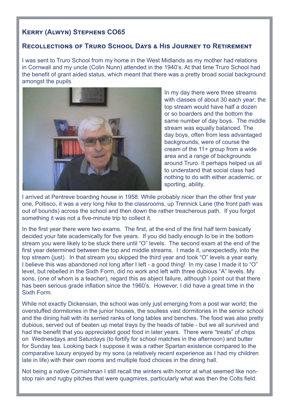## **Kerry (Alwyn) Stephens CO65**

#### **Recollections of Truro School Days & His Journey to Retirement**

I was sent to Truro School from my home in the West Midlands as my mother had relations in Cornwall and my uncle (Colin Nunn) attended in the 1940's. At that time Truro School had the benefit of grant aided status, which meant that there was a pretty broad social background amongst the pupils



In my day there were three streams with classes of about 30 each year; the top stream would have half a dozen or so boarders and the bottom the same number of day boys. The middle stream was equally balanced. The day boys, often from less advantaged backgrounds, were of course the cream of the 11+ group from a wide area and a range of backgrounds around Truro. It perhaps helped us all to understand that social class had nothing to do with either academic, or sporting, ability.

I arrived at Pentreve boarding house in 1958. While probably nicer than the other first year one, Poltisco, it was a very long hike to the classrooms, up Trennick Lane (the front path was out of bounds) across the school and then down the rather treacherous path. If you forgot something it was not a five-minute trip to collect it.

In the first year there were two exams. The first, at the end of the first half term basically decided your fate academically for five years. If you did badly enough to be in the bottom stream you were likely to be stuck there until "O" levels. The second exam at the end of the first year determined between the top and middle streams. I made it, unexpectedly, into the top stream (just). In that stream you skipped the third year and took "O" levels a year early. I believe this was abandoned not long after I left - a good thing! In my case I made it to "O" level, but rebelled in the Sixth Form, did no work and left with three dubious "A" levels. My sons, (one of whom is a teacher), regard this as abject failure, although I point out that there has been serious grade inflation since the 1960's. However, I did have a great time in the Sixth Form.

While not exactly Dickensian, the school was only just emerging from a post war world; the overstuffed dormitories in the junior houses, the soulless vast dormitories in the senior school and the dining hall with its serried ranks of long tables and benches. The food was also pretty dubious, served out of beaten up metal trays by the heads of table - but we all survived and had the benefit that you appreciated good food in later years. There were "treats" of chips on Wednesdays and Saturdays (to fortify for school matches in the afternoon) and butter for Sunday tea. Looking back I suppose it was a rather Spartan existence compared to the comparative luxury enjoyed by my sons (a relatively recent experience as I had my children late in life) with their own rooms and multiple food choices in the dining hall.

Not being a native Cornishman I still recall the winters with horror at what seemed like nonstop rain and rugby pitches that were quagmires, particularly what was then the Colts field.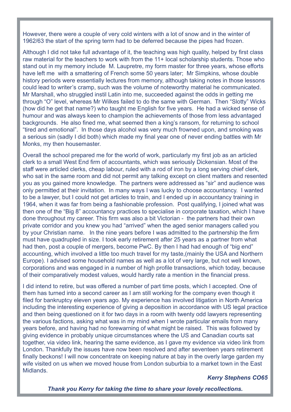However, there were a couple of very cold winters with a lot of snow and in the winter of 1962/63 the start of the spring term had to be deferred because the pipes had frozen.

Although I did not take full advantage of it, the teaching was high quality, helped by first class raw material for the teachers to work with from the 11+ local scholarship students. Those who stand out in my memory include M. Laupretre, my form master for three years, whose efforts have left me with a smattering of French some 50 years later; Mr Simpkins, whose double history periods were essentially lectures from memory, although taking notes in those lessons could lead to writer's cramp, such was the volume of noteworthy material he communicated. Mr Marshall, who struggled instil Latin into me, succeeded against the odds in getting me through "O" level, whereas Mr Wilkes failed to do the same with German. Then "Slotty" Wicks (how did he get that name?) who taught me English for five years. He had a wicked sense of humour and was always keen to champion the achievements of those from less advantaged backgrounds. He also fined me, what seemed then a king's ransom, for returning to school "tired and emotional". In those days alcohol was very much frowned upon, and smoking was a serious sin (sadly I did both) which made my final year one of never ending battles with Mr Monks, my then housemaster.

Overall the school prepared me for the world of work, particularly my first job as an articled clerk to a small West End firm of accountants, which was seriously Dickensian. Most of the staff were articled clerks, cheap labour, ruled with a rod of iron by a long serving chief clerk, who sat in the same room and did not permit any talking except on client matters and resented you as you gained more knowledge. The partners were addressed as "sir" and audience was only permitted at their invitation. In many ways I was lucky to choose accountancy. I wanted to be a lawyer, but I could not get articles to train, and I ended up in accountancy training in 1964, when it was far from being a fashionable profession. Post qualifying, I joined what was then one of the "Big 8" accountancy practices to specialise in corporate taxation, which I have done throughout my career. This firm was also a bit Victorian - the partners had their own private corridor and you knew you had "arrived" when the aged senior managers called you by your Christian name. In the nine years before I was admitted to the partnership the firm must have quadrupled in size. I took early retirement after 25 years as a partner from what had then, post a couple of mergers, become PwC. By then I had had enough of "big end" accounting, which involved a little too much travel for my taste,(mainly the USA and Northern Europe). I advised some household names as well as a lot of very large, but not well known, corporations and was engaged in a number of high profile transactions, which today, because of their comparatively modest values, would hardly rate a mention in the financial press.

I did intend to retire, but was offered a number of part time posts, which I accepted. One of them has turned into a second career as I am still working for the company even though it filed for bankruptcy eleven years ago. My experience has involved litigation in North America including the interesting experience of giving a deposition in accordance with US legal practice and then being questioned on it for two days in a room with twenty odd lawyers representing the various factions, asking what was in my mind when I wrote particular emails from many years before, and having had no forewarning of what might be raised. This was followed by giving evidence in probably unique circumstances where the US and Canadian courts sat together, via video link, hearing the same evidence, as I gave my evidence via video link from London. Thankfully the issues have now been resolved and after seventeen years retirement finally beckons! I will now concentrate on keeping nature at bay in the overly large garden my wife visited on us when we moved house from London suburbia to a market town in the East Midlands.

#### *Kerry Stephens CO65*

*Thank you Kerry for taking the time to share your lovely recollections.*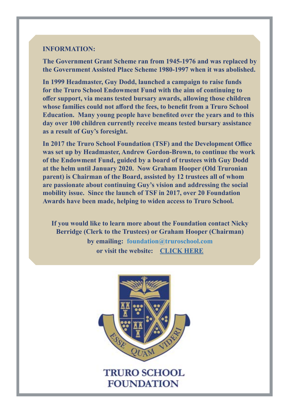#### **INFORMATION:**

**The Government Grant Scheme ran from 1945-1976 and was replaced by the Government Assisted Place Scheme 1980-1997 when it was abolished.** 

**In 1999 Headmaster, Guy Dodd, launched a campaign to raise funds for the Truro School Endowment Fund with the aim of continuing to offer support, via means tested bursary awards, allowing those children whose families could not afford the fees, to benefit from a Truro School Education. Many young people have benefited over the years and to this day over 100 children currently receive means tested bursary assistance as a result of Guy's foresight.** 

**In 2017 the Truro School Foundation (TSF) and the Development Office was set up by Headmaster, Andrew Gordon-Brown, to continue the work of the Endowment Fund, guided by a board of trustees with Guy Dodd at the helm until January 2020. Now Graham Hooper (Old Truronian parent) is Chairman of the Board, assisted by 12 trustees all of whom are passionate about continuing Guy's vision and addressing the social mobility issue. Since the launch of TSF in 2017, over 20 Foundation Awards have been made, helping to widen access to Truro School.** 

**If you would like to learn more about the Foundation contact Nicky Berridge (Clerk to the Trustees) or Graham Hooper (Chairman) by emailing: foundation@truroschool.com or visit the website: [CLICK HERE](https://www.truroschool.com/foundation/)**

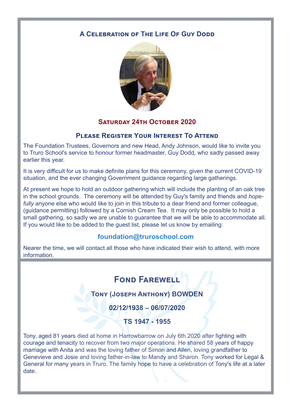## **A CELEBRATION OF THE LIFE OF GUY DODD**



## **SATURDAY 24TH OCTOBER 2020**

#### **Please Register Your Interest To Attend**

The Foundation Trustees, Governors and new Head, Andy Johnson, would like to invite you to Truro School's service to honour former headmaster, Guy Dodd, who sadly passed away earlier this year.

It is very difficult for us to make definite plans for this ceremony, given the current COVID-19 situation, and the ever changing Government guidance regarding large gatherings.

At present we hope to hold an outdoor gathering which will include the planting of an oak tree in the school grounds. The ceremony will be attended by Guy's family and friends and *hopefully* anyone else who would like to join in this tribute to a dear friend and former colleague, (guidance permitting) followed by a Cornish Cream Tea. It may only be possible to hold a small gathering, so sadly we are unable to guarantee that we will be able to accommodate all. If you would like to be added to the guest list, please let us know by emailing:

## **foundation@truroschool.com**

Nearer the time, we will contact all those who have indicated their wish to attend, with more information.

## **FOND FAREWELL**

**Tony (Joseph Anthony) BOWDEN**

**02/12/1938 – 06/07/2020**

**TS 1947 - 1955**

Tony, aged 81 years died at home in Harrowbarrow on July 6th 2020 after fighting with courage and tenacity to recover from two major operations. He shared 58 years of happy marriage with Anita and was the loving father of Simon and Allen, loving grandfather to Genevieve and Josie and loving father-in-law to Mandy and Sharon. Tony worked for Legal & General for many years in Truro. The family hope to have a celebration of Tony's life at a later date.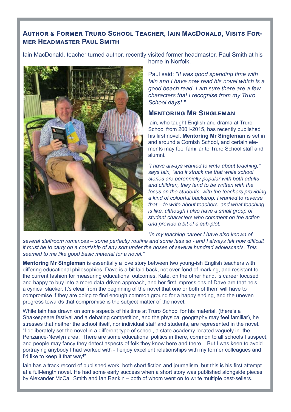#### **Author & Former Truro School Teacher, Iain MacDonald, Visits Former Headmaster Paul Smith**

Iain MacDonald, teacher turned author, recently visited former headmaster, Paul Smith at his



home in Norfolk.

Paul said: *"It was good spending time with Iain and I have now read his novel which is a good beach read. I am sure there are a few characters that I recognise from my Truro School days! "*

#### **Mentoring Mr Singleman**

Iain, who taught English and drama at Truro School from 2001-2015, has recently published his first novel. **Mentoring Mr Singleman** is set in and around a Cornish School, and certain elements may feel familiar to Truro School staff and alumni.

*"I have always wanted to write about teaching," says Iain, "and it struck me that while school stories are perennially popular with both adults and children, they tend to be written with the focus on the students, with the teachers providing a kind of colourful backdrop. I wanted to reverse that – to write about teachers, and what teaching is like, although I also have a small group of student characters who comment on the action and provide a bit of a sub-plot.* 

*"In my teaching career I have also known of* 

*several staffroom romances – some perfectly routine and some less so - and I always felt how difficult it must be to carry on a courtship of any sort under the noses of several hundred adolescents. This seemed to me like good basic material for a novel."* 

**Mentoring Mr Singleman** is essentially a love story between two young-ish English teachers with differing educational philosophies. Dave is a bit laid back, not over-fond of marking, and resistant to the current fashion for measuring educational outcomes. Kate, on the other hand, is career focused and happy to buy into a more data-driven approach, and her first impressions of Dave are that he's a cynical slacker. It's clear from the beginning of the novel that one or both of them will have to compromise if they are going to find enough common ground for a happy ending, and the uneven progress towards that compromise is the subject matter of the novel.

While Iain has drawn on some aspects of his time at Truro School for his material, (there's a Shakespeare festival and a debating competition, and the physical geography may feel familiar), he stresses that neither the school itself, nor individual staff and students, are represented in the novel. "I deliberately set the novel in a different type of school, a state academy located vaguely in the Penzance-Newlyn area. There are some educational politics in there, common to all schools I suspect, and people may fancy they detect aspects of folk they know here and there. But I was keen to avoid portraying anybody I had worked with - I enjoy excellent relationships with my former colleagues and I'd like to keep it that way!"

Iain has a track record of published work, both short fiction and journalism, but this is his first attempt at a full-length novel. He had some early success when a short story was published alongside pieces by Alexander McCall Smith and Ian Rankin – both of whom went on to write multiple best-sellers.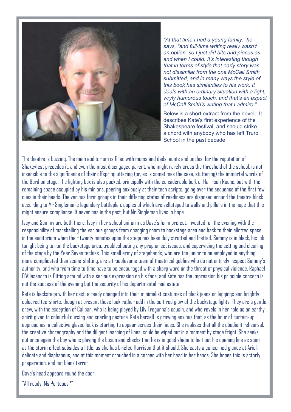

*"At that time I had a young family," he says, "and full-time writing really wasn't an option, so I just did bits and pieces as and when I could. It's interesting though that in terms of style that early story was not dissimilar from the one McCall Smith submitted, and in many ways the style of this book has similarities to his work. It deals with an ordinary situation with a light, wryly humorous touch, and that's an aspect of McCall Smith's writing that I admire."* 

Below is a short extract from the novel. It describes Kate's first experience of the Shakespeare festival, and should strike a chord with anybody who has left Truro School in the past decade.

The theatre is buzzing. The main auditorium is filled with mums and dads, aunts and uncles, for the reputation of Shakeyfest precedes it, and even the most disengaged parent, who might rarely cross the threshold of the school, is not insensible to the significance of their offspring uttering (or, as is sometimes the case, stuttering) the immortal words of the Bard on stage. The lighting box is also packed, principally with the considerable bulk of Harrison Roche, but with the remaining space occupied by his minions, peering anxiously at their tech scripts, going over the sequence of the first few cues in their heads. The various form groups in their differing states of readiness are disposed around the theatre block according to Mr Singleman's legendary battleplan, copies of which are sellotaped to walls and pillars in the hope that this might ensure compliance. It never has in the past, but Mr Singleman lives in hope.

Issy and Sammy are both there, Issy in her school uniform as Dave's form prefect, invested for the evening with the responsibility of marshalling the various groups from changing room to backstage area and back to their allotted space in the auditorium when their twenty minutes upon the stage has been duly strutted and fretted. Sammy is in black, his job tonight being to run the backstage area, troubleshooting any prop or set issues, and supervising the setting and clearing of the stage by the Year Seven techies. This small army of stagehands, who are too junior to be employed in anything more complicated than scene-shifting, are a troublesome team of theatrical goblins who do not entirely respect Sammy's authority, and who from time to time have to be encouraged with a sharp word or the threat of physical violence. Raphael D'Allesandro is flitting around with a serious expression on his face, and Kate has the impression his principle concern is not the success of the evening but the security of his departmental real estate.

Kate is backstage with her cast, already changed into their minimalist costumes of black jeans or leggings and brightly coloured tee-shirts, though at present these look rather odd in the soft red glow of the backstage lights. They are a gentle crew, with the exception of Caliban, who is being played by Lily Tregunna's cousin, and who revels in her role as an earthy spirit given to colourful cursing and snarling gesture. Kate herself is growing anxious that, as the hour of curtain-up approaches, a collective glazed look is starting to appear across their faces. She realises that all the obedient rehearsal, the creative choreography and the diligent learning of lines, could be wiped out in a moment by stage fright. She seeks out once again the boy who is playing the bosun and checks that he is in good shape to belt out his opening line as soon as the storm effect subsides a little, as she has briefed Harrison that it should. She casts a concerned glance at Ariel, delicate and diaphanous, and at this moment crouched in a corner with her head in her hands. She hopes this is actorly preparation, and not blank terror.

Dave's head appears round the door.

"All ready, Ms Porteous?"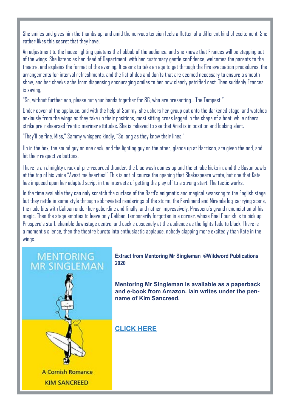She smiles and gives him the thumbs up, and amid the nervous tension feels a flutter of a different kind of excitement. She rather likes this secret that they have.

An adjustment to the house lighting quietens the hubbub of the audience, and she knows that Frances will be stepping out of the wings. She listens as her Head of Department, with her customary gentle confidence, welcomes the parents to the theatre, and explains the format of the evening. It seems to take an age to get through the fire evacuation procedures, the arrangements for interval refreshments, and the list of dos and don'ts that are deemed necessary to ensure a smooth show, and her cheeks ache from dispensing encouraging smiles to her now clearly petrified cast. Then suddenly Frances is saying,

"So, without further ado, please put your hands together for 8G, who are presenting… The Tempest!"

Under cover of the applause, and with the help of Sammy, she ushers her group out onto the darkened stage, and watches anxiously from the wings as they take up their positions, most sitting cross legged in the shape of a boat, while others strike pre-rehearsed frantic-mariner attitudes. She is relieved to see that Ariel is in position and looking alert.

"They'll be fine, Miss," Sammy whispers kindly, "So long as they know their lines."

Up in the box, the sound guy on one desk, and the lighting guy on the other, glance up at Harrison, are given the nod, and hit their respective buttons.

There is an almighty crack of pre-recorded thunder, the blue wash comes up and the strobe kicks in, and the Bosun bawls at the top of his voice "Avast me hearties!" This is not of course the opening that Shakespeare wrote, but one that Kate has imposed upon her adapted script in the interests of getting the play off to a strong start. The tactic works.

In the time available they can only scratch the surface of the Bard's enigmatic and magical swansong to the English stage, but they rattle in some style through abbreviated renderings of the storm, the Ferdinand and Miranda log-carrying scene, the rude bits with Caliban under her gaberdine and finally, and rather impressively, Prospero's grand renunciation of his magic. Then the stage empties to leave only Caliban, temporarily forgotten in a corner, whose final flourish is to pick up Prospero's staff, shamble downstage centre, and cackle obscenely at the audience as the lights fade to black. There is a moment's silence, then the theatre bursts into enthusiastic applause, nobody clapping more excitedly than Kate in the wings.



**Extract from Mentoring Mr Singleman ©Wildword Publications 2020**

**Mentoring Mr Singleman is available as a paperback and e-book from Amazon. Iain writes under the penname of Kim Sancreed.** 

**[CLICK HERE](https://www.amazon.co.uk/Mentoring-Mr-Singleman-Cornish-Romance-ebook/dp/B0847RVVL9/ref=sr_1_1?keywords=Kim+Sancreed&qid=1580205147&s=digital-text&sr=1-1)**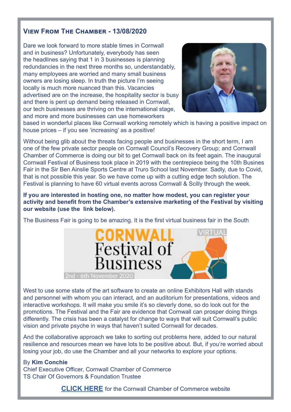### **View From The Chamber - 13/08/2020**

Dare we look forward to more stable times in Cornwall and in business? Unfortunately, everybody has seen the headlines saying that 1 in 3 businesses is planning redundancies in the next three months so, understandably, many employees are worried and many small business owners are losing sleep. In truth the picture I'm seeing locally is much more nuanced than this. Vacancies advertised are on the increase, the hospitality sector is busy and there is pent up demand being released in Cornwall, our tech businesses are thriving on the international stage, and more and more businesses can use homeworkers



based in wonderful places like Cornwall working remotely which is having a positive impact on house prices – if you see 'increasing' as a positive!

Without being glib about the threats facing people and businesses in the short term, I am one of the few private sector people on Cornwall Council's Recovery Group; and Cornwall Chamber of Commerce is doing our bit to get Cornwall back on its feet again. The inaugural Cornwall Festival of Business took place in 2019 with the centrepiece being the 10th Busines Fair in the Sir Ben Ainslie Sports Centre at Truro School last November. Sadly, due to Covid, that is not possible this year. So we have come up with a cutting edge tech solution. The Festival is planning to have 60 virtual events across Cornwall & Scilly through the week.

**If you are interested in hosting one, no matter how modest, you can register your activity and benefit from the Chamber's extensive marketing of the Festival by visiting our website (use the link below).**

The Business Fair is going to be amazing. It is the first virtual business fair in the South



West to use some state of the art software to create an online Exhibitors Hall with stands and personnel with whom you can interact, and an auditorium for presentations, videos and interactive workshops. It will make you smile it's so cleverly done, so do look out for the promotions. The Festival and the Fair are evidence that Cornwall can prosper doing things differently. The crisis has been a catalyst for change to ways that will suit Cornwall's public vision and private psyche in ways that haven't suited Cornwall for decades.

And the collaborative approach we take to sorting out problems here, added to our natural resilience and resources mean we have lots to be positive about. But, if you're worried about losing your job, do use the Chamber and all your networks to explore your options.

#### By **Kim Conchie**

Chief Executive Officer, Cornwall Chamber of Commerce TS Chair Of Governors & Foundation Trustee

**[CLICK HERE](https://www.cornwallchamber.co.uk/)** for the Cornwall Chamber of Commerce website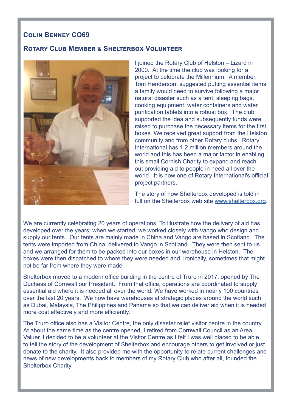#### **Colin Benney CO69**

#### **Rotary Club Member & Shelterbox Volunteer**



I joined the Rotary Club of Helston – Lizard in 2000. At the time the club was looking for a project to celebrate the Millennium. A member, Tom Henderson, suggested putting essential items a family would need to survive following a major natural disaster such as a tent, sleeping bags, cooking equipment, water containers and water purification tablets into a robust box. The club supported the idea and subsequently funds were raised to purchase the necessary items for the first boxes. We received great support from the Helston community and from other Rotary clubs. Rotary International has 1.2 million members around the world and this has been a major factor in enabling this small Cornish Charity to expand and reach out providing aid to people in need all over the world. It is now one of Rotary International's official project partners.

The story of how Shelterbox developed is told in full on the Shelterbox web site [www.shelterbox.org](http://www.shelterbox.org).

We are currently celebrating 20 years of operations. To illustrate how the delivery of aid has developed over the years; when we started, we worked closely with Vango who design and supply our tents. Our tents are mainly made in China and Vango are based in Scotland. The tents were imported from China, delivered to Vango in Scotland. They were then sent to us and we arranged for them to be packed into our boxes in our warehouse in Helston. The boxes were then dispatched to where they were needed and, ironically, sometimes that might not be far from where they were made.

Shelterbox moved to a modern office building in the centre of Truro in 2017, opened by The Duchess of Cornwall our President. From that office, operations are coordinated to supply essential aid where it is needed all over the world. We have worked in nearly 100 countries over the last 20 years. We now have warehouses at strategic places around the world such as Dubai, Malaysia, The Philippines and Panama so that we can deliver aid when it is needed more cost effectively and more efficiently.

The Truro office also has a Visitor Centre, the only disaster relief visitor centre in the country. At about the same time as the centre opened, I retired from Cornwall Council as an Area Valuer. I decided to be a volunteer at the Visitor Centre as I felt I was well placed to be able to tell the story of the development of Shelterbox and encourage others to get involved or just donate to the charity. It also provided me with the opportunity to relate current challenges and news of new developments back to members of my Rotary Club who after all, founded the Shelterbox Charity.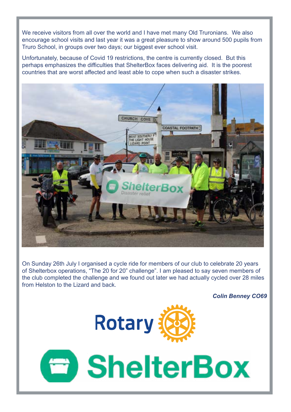We receive visitors from all over the world and I have met many Old Truronians. We also encourage school visits and last year it was a great pleasure to show around 500 pupils from Truro School, in groups over two days; our biggest ever school visit.

Unfortunately, because of Covid 19 restrictions, the centre is currently closed. But this perhaps emphasizes the difficulties that ShelterBox faces delivering aid. It is the poorest countries that are worst affected and least able to cope when such a disaster strikes.



On Sunday 26th July I organised a cycle ride for members of our club to celebrate 20 years of Shelterbox operations, "The 20 for 20" challenge". I am pleased to say seven members of the club completed the challenge and we found out later we had actually cycled over 28 miles from Helston to the Lizard and back.

*Colin Benney CO69*



**E** ShelterBox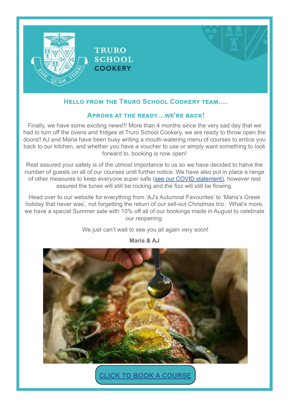

#### **Hello from the Truro School Cookery team.....**

#### **Aprons at the ready....we're back!**

Finally, we have some exciting news!!! More than 4 months since the very sad day that we had to turn off the ovens and fridges at Truro School Cookery, we are ready to throw open the doors!! AJ and Maria have been busy writing a mouth-watering menu of courses to entice you back to our kitchen, and whether you have a voucher to use or simply want something to look forward to, booking is now open!

Rest assured your safety is of the utmost importance to us so we have decided to halve the number of guests on all of our courses until further notice. We have also put in place a range of other measures to keep everyone super safe ([see our COVID statement\)](https://truroschoolcookery.com/general-news/coronavirus-statement/), however rest assured the tunes will still be rocking and the fizz will still be flowing.

Head over to our website for everything from 'AJ's Autumnal Favourites' to 'Maria's Greek holiday that never was', not forgetting the return of our sell-out Christmas trio. What's more, we have a special Summer sale with 10% off all of our bookings made in August to celebrate our reopening.

We just can't wait to see you all again very soon!



**Maria & AJ**

**[CLICK TO BOOK A COURSE](https://truroschoolcookery.com/cookery-courses-cornwall/)**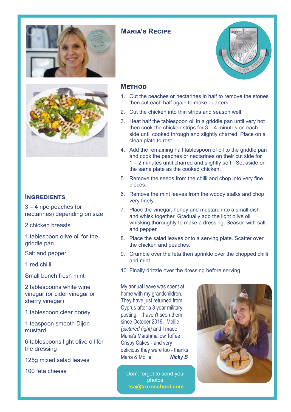



#### **INGREDIENTS**

3 – 4 ripe peaches (or nectarines) depending on size

2 chicken breasts

1 tablespoon olive oil for the griddle pan

Salt and pepper

1 red chilli

Small bunch fresh mint

2 tablespoons white wine vinegar (or cider vinegar or sherry vinegar)

1 tablespoon clear honey

1 teaspoon smooth Dijon mustard

6 tablespoons light olive oil for the dressing

125g mixed salad leaves

100 feta cheese

#### **Method**

- 1. Cut the peaches or nectarines in half to remove the stones then cut each half again to make quarters.
- 2. Cut the chicken into thin strips and season well.
- 3. Heat half the tablespoon oil in a griddle pan until very hot then cook the chicken strips for  $3 - 4$  minutes on each side until cooked through and slightly charred. Place on a clean plate to rest.
- 4. Add the remaining half tablespoon of oil to the griddle pan and cook the peaches or nectarines on their cut side for 1 – 2 minutes until charred and slightly soft. Set aside on the same plate as the cooked chicken.
- 5. Remove the seeds from the chilli and chop into very fine pieces.
- 6. Remove the mint leaves from the woody stalks and chop very finely.
- 7. Place the vinegar, honey and mustard into a small dish and whisk together. Gradually add the light olive oil whisking thoroughly to make a dressing. Season with salt and pepper.
- 8. Place the salad leaves onto a serving plate. Scatter over the chicken and peaches.
- 9. Crumble over the feta then sprinkle over the chopped chilli and mint.
- 10. Finally drizzle over the dressing before serving.

My annual leave was spent at home with my grandchildren. They have just returned from Cyprus after a 3 year military posting. I haven't seen them since October 2019. Mollie *(pictured right)* and I made Maria's Marshmallow Toffee Crispy Cakes - and very delicious they were too - thanks Maria & Mollie! *Nicky B*

Don't forget to send your photos. **tsa@truroschool.com** 





## **Maria's Recipe**